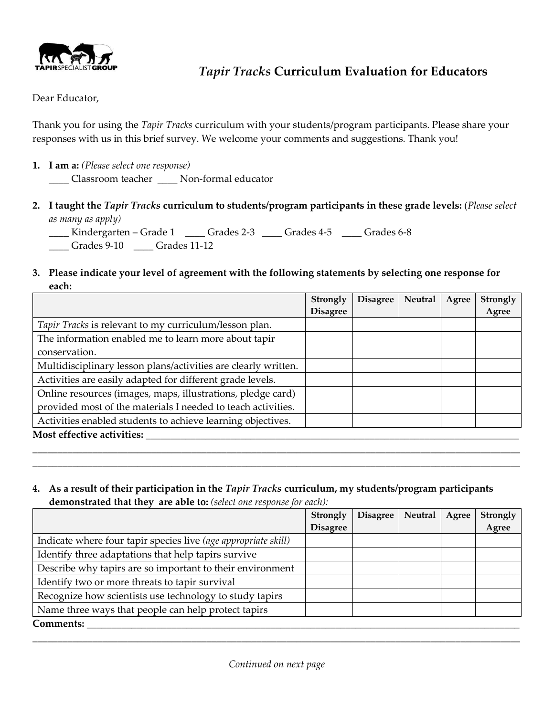

# *Tapir Tracks* **Curriculum Evaluation for Educators**

Dear Educator,

Thank you for using the *Tapir Tracks* curriculum with your students/program participants. Please share your responses with us in this brief survey. We welcome your comments and suggestions. Thank you!

**1. I am a:** *(Please select one response)*

\_\_\_\_ Classroom teacher \_\_\_\_ Non-formal educator

**2. I taught the** *Tapir Tracks* **curriculum to students/program participants in these grade levels:** (*Please select as many as apply)*

\_\_\_\_ Kindergarten – Grade 1 \_\_\_\_ Grades 2-3 \_\_\_\_ Grades 4-5 \_\_\_\_ Grades 6-8 \_\_\_\_ Grades 9-10 \_\_\_\_ Grades 11-12

**3. Please indicate your level of agreement with the following statements by selecting one response for each:**

|                                                                | Strongly        | <b>Disagree</b> | Neutral | Agree | Strongly |
|----------------------------------------------------------------|-----------------|-----------------|---------|-------|----------|
|                                                                | <b>Disagree</b> |                 |         |       | Agree    |
| <i>Tapir Tracks</i> is relevant to my curriculum/lesson plan.  |                 |                 |         |       |          |
| The information enabled me to learn more about tapir           |                 |                 |         |       |          |
| conservation.                                                  |                 |                 |         |       |          |
| Multidisciplinary lesson plans/activities are clearly written. |                 |                 |         |       |          |
| Activities are easily adapted for different grade levels.      |                 |                 |         |       |          |
| Online resources (images, maps, illustrations, pledge card)    |                 |                 |         |       |          |
| provided most of the materials I needed to teach activities.   |                 |                 |         |       |          |
| Activities enabled students to achieve learning objectives.    |                 |                 |         |       |          |
| Most effective activities:                                     |                 |                 |         |       |          |

\_\_\_\_\_\_\_\_\_\_\_\_\_\_\_\_\_\_\_\_\_\_\_\_\_\_\_\_\_\_\_\_\_\_\_\_\_\_\_\_\_\_\_\_\_\_\_\_\_\_\_\_\_\_\_\_\_\_\_\_\_\_\_\_\_\_\_\_\_\_\_\_\_\_\_\_\_\_\_\_\_\_\_\_\_\_\_\_\_\_\_\_\_\_\_\_\_\_ \_\_\_\_\_\_\_\_\_\_\_\_\_\_\_\_\_\_\_\_\_\_\_\_\_\_\_\_\_\_\_\_\_\_\_\_\_\_\_\_\_\_\_\_\_\_\_\_\_\_\_\_\_\_\_\_\_\_\_\_\_\_\_\_\_\_\_\_\_\_\_\_\_\_\_\_\_\_\_\_\_\_\_\_\_\_\_\_\_\_\_\_\_\_\_\_\_\_

#### **4. As a result of their participation in the** *Tapir Tracks* **curriculum, my students/program participants demonstrated that they are able to:** *(select one response for each):*

|                                                                | Strongly        | <b>Disagree</b> | Neutral | Agree | Strongly |
|----------------------------------------------------------------|-----------------|-----------------|---------|-------|----------|
|                                                                | <b>Disagree</b> |                 |         |       | Agree    |
| Indicate where four tapir species live (age appropriate skill) |                 |                 |         |       |          |
| Identify three adaptations that help tapirs survive            |                 |                 |         |       |          |
| Describe why tapirs are so important to their environment      |                 |                 |         |       |          |
| Identify two or more threats to tapir survival                 |                 |                 |         |       |          |
| Recognize how scientists use technology to study tapirs        |                 |                 |         |       |          |
| Name three ways that people can help protect tapirs            |                 |                 |         |       |          |
| <b>Comments:</b>                                               |                 |                 |         |       |          |

\_\_\_\_\_\_\_\_\_\_\_\_\_\_\_\_\_\_\_\_\_\_\_\_\_\_\_\_\_\_\_\_\_\_\_\_\_\_\_\_\_\_\_\_\_\_\_\_\_\_\_\_\_\_\_\_\_\_\_\_\_\_\_\_\_\_\_\_\_\_\_\_\_\_\_\_\_\_\_\_\_\_\_\_\_\_\_\_\_\_\_\_\_\_\_\_\_\_